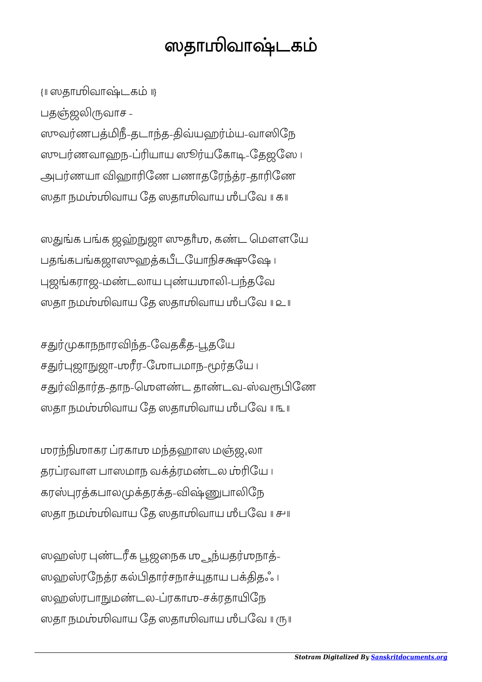## ஸதாஶிவாடக

{॥ ஸதாஶிவாடக ॥} பதஞ்ஜலிருவாச -ஸுவர்ணபத்மிநீ-தடாந்த-திவ்யஹர்ம்ய-வாஸிநே ஸுபர்ணவாஹந-ப்ரியாய ஸூர்யகோடி-தேஜஸே ப அபர்ணயா விஹாரிணே பணாதரேந்த்ர-தாரிணே ஸதா நமம்பமிவாய தே ஸதாமிவாய மீபவே ॥ க

ஸதுங்க பங்க ஜஹ்நுஜா ஸுதாீமு, கண்ட மௌளயே பதங்கபங்கஜாஸுஹத்கபீடயோநிசக்ஷுவே ப புஜங்கராஜ-மண்டலாய புண்யமாலி-பந்தவே ஸதா நமம்பமிவாய தே ஸதாமிவாய மீபவே ॥ உ

சதுர்முகாநநாரவிந்த-வேதகீத-பூதயே சதுர்புஜாநுஜா-மரீர-மோபமாந-மூர்தயே ப சதுர்விதார்த-தாந-மெளண்ட தாண்டவ-ஸ்வரூபிணே ஸதா நமம்பமிவாய தே ஸதாமிவாய மீபவே ॥ ௩ ॥

ஶரஶாகர ரகாஶ மதஹாஸ மஜுலா தரப்ரவாள பாஸமாந வக்த்ரமண்டல ம்ரியே ၊ கரஸ்புரத்கபாலமுக்தரக்த-விஷ்ணுபாலிநே ஸதா நமஶிவாய ேத ஸதாஶிவாய ஶஂபேவ ॥ ௪॥

ஸஹஸ்ர புண்டரீக பூஜநைக ம<sub>ு ந</sub>ந்யதர்முநாத்-ஸஹஸ்ரநேத்ர கல்பிதார்சநாச்யுதாய பக்திதஃ ப ஸஹஸ்ரபாநுமண்டல-ப்ரகாமு-சக்ரதாயிநே ஸதா நமம்பலிவாய தே ஸதாமிவாய மீபவே ॥ ரு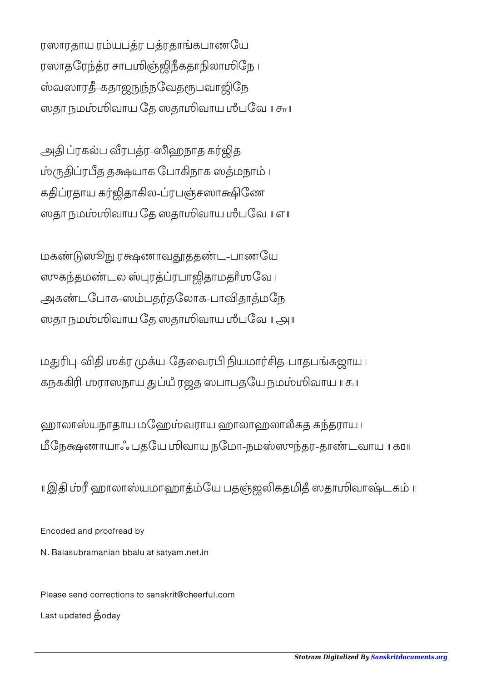ரஸாரதாய ரம்யபத்ர பத்ரதாங்கபாணயே ரஸாதரேந்த்ர சாபமிஞ்ஜிநீகதாநிலாமிநே ၊ ஸ்வஸாரதீ-கதாஜநுந்நவேதரூபவாஜிநே ஸதா நமஶிவாய ேத ஸதாஶிவாய ஶஂபேவ ॥ ௬॥

அதி ப்ரகல்ப வீரபத்ர-ஸிஹநாத கர்ஜித ம்ருதிப்ரபீத தக்ஷயாக போகிநாக ஸத்மநாம் ၊ கதிப்ரதாய கர்ஜிதாகில-ப்ரபஞ்சஸாக்ஷிணே ஸதா நமம்பலிவாய தே ஸதாமிவாய மீபவே ॥ எ ॥

மகண்டுஸூநு ரக்ஷணாவதூததண்ட-பாணயே ஸுகந்தமண்டல ஸ்புரத்ப்ரபாஜிதாமதாீமவே ப அகண்டபோக-ஸம்பதர்தலோக-பாவிதாத்மநே ஸதா நமஶிவாய ேத ஸதாஶிவாய ஶஂபேவ ॥ ௮॥

மதுரிபு-விதி முக்ர முக்ய-தேவைரபி நியமார்சித-பாதபங்கஜாய ப கநககிரி-மராஸநாய துப்யீ ரஜத ஸபாபதயே நமம்மிவாய ။ கூ

ஹாலாஸ்யநாதாய மஹேம்வராய ஹாலாஹலாலீகத கந்தராய ப மீநேக்ஷணாயாஃ பதயே மிவாய நமோ-நமஸ்ஸுந்தர-தாண்டவாய || க்ப

॥ இ ஹாலாயமாஹாேய பதஜகததஂ ஸதாஶிவாடக ॥

Encoded and proofread by

N. Balasubramanian bbalu at satyam.net.in

Please send corrections to sanskrit@cheerful.com Last updated  $\dot{\mathbf{g}}$ oday